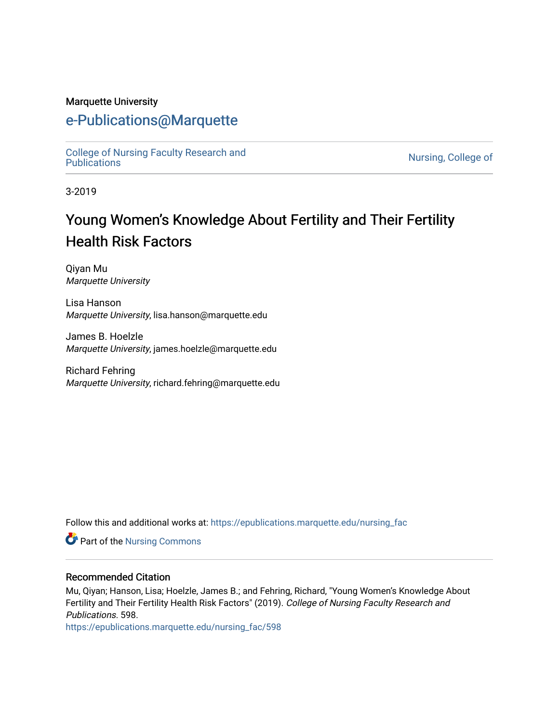#### Marquette University

## [e-Publications@Marquette](https://epublications.marquette.edu/)

[College of Nursing Faculty Research and](https://epublications.marquette.edu/nursing_fac)<br>Publications

Nursing, College of

3-2019

# Young Women's Knowledge About Fertility and Their Fertility Health Risk Factors

Qiyan Mu Marquette University

Lisa Hanson Marquette University, lisa.hanson@marquette.edu

James B. Hoelzle Marquette University, james.hoelzle@marquette.edu

Richard Fehring Marquette University, richard.fehring@marquette.edu

Follow this and additional works at: [https://epublications.marquette.edu/nursing\\_fac](https://epublications.marquette.edu/nursing_fac?utm_source=epublications.marquette.edu%2Fnursing_fac%2F598&utm_medium=PDF&utm_campaign=PDFCoverPages)

Part of the [Nursing Commons](http://network.bepress.com/hgg/discipline/718?utm_source=epublications.marquette.edu%2Fnursing_fac%2F598&utm_medium=PDF&utm_campaign=PDFCoverPages) 

#### Recommended Citation

Mu, Qiyan; Hanson, Lisa; Hoelzle, James B.; and Fehring, Richard, "Young Women's Knowledge About Fertility and Their Fertility Health Risk Factors" (2019). College of Nursing Faculty Research and Publications. 598.

[https://epublications.marquette.edu/nursing\\_fac/598](https://epublications.marquette.edu/nursing_fac/598?utm_source=epublications.marquette.edu%2Fnursing_fac%2F598&utm_medium=PDF&utm_campaign=PDFCoverPages)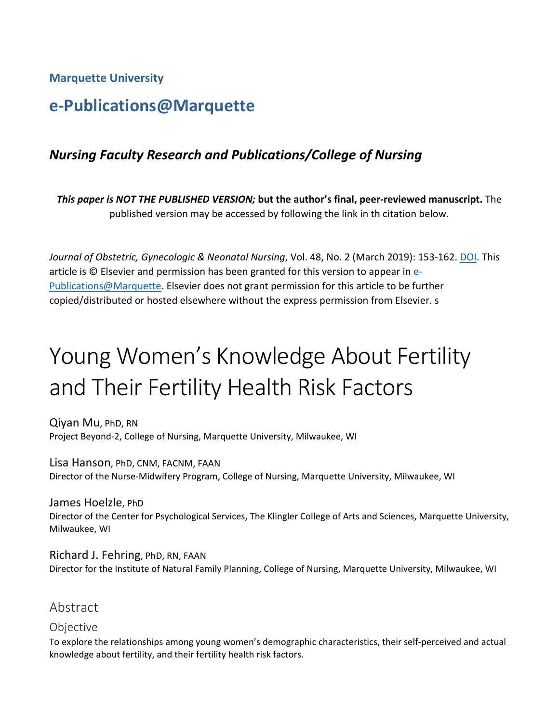**Marquette University**

## **e-Publications@Marquette**

## *Nursing Faculty Research and Publications/College of Nursing*

*This paper is NOT THE PUBLISHED VERSION;* **but the author's final, peer-reviewed manuscript.** The published version may be accessed by following the link in th citation below.

*Journal of Obstetric, Gynecologic & Neonatal Nursing*, Vol. 48, No. 2 (March 2019): 153-162. DOI. This article is © Elsevier and permission has been granted for this version to appear in [e-](http://epublications.marquette.edu/)[Publications@Marquette.](http://epublications.marquette.edu/) Elsevier does not grant permission for this article to be further copied/distributed or hosted elsewhere without the express permission from Elsevier. s

# Young Women's Knowledge About Fertility and Their Fertility Health Risk Factors

Qiyan Mu, PhD, RN Project Beyond-2, College of Nursing, Marquette University, Milwaukee, WI

Lisa Hanson, PhD, CNM, FACNM, FAAN Director of the Nurse-Midwifery Program, College of Nursing, Marquette University, Milwaukee, WI

James Hoelzle, PhD Director of the Center for Psychological Services, The Klingler College of Arts and Sciences, Marquette University, Milwaukee, WI

Richard J. Fehring, PhD, RN, FAAN Director for the Institute of Natural Family Planning, College of Nursing, Marquette University, Milwaukee, WI

Abstract

Objective

To explore the relationships among young women's demographic characteristics, their self-perceived and actual knowledge about fertility, and their fertility health risk factors.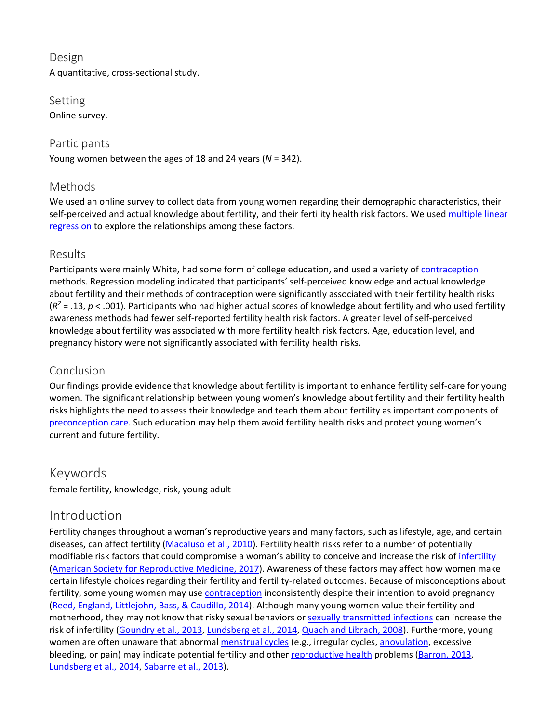## Design A quantitative, cross-sectional study.

Setting Online survey.

## Participants

Young women between the ages of 18 and 24 years (*N* = 342).

## Methods

We used an online survey to collect data from young women regarding their demographic characteristics, their self-perceived and actual knowledge about fertility, and their fertility health risk factors. We used multiple linear [regression](https://www.sciencedirect.com/topics/medicine-and-dentistry/multiple-linear-regression-analysis) to explore the relationships among these factors.

## Results

Participants were mainly White, had some form of college education, and used a variety of [contraception](https://www.sciencedirect.com/topics/nursing-and-health-professions/contraception) methods. Regression modeling indicated that participants' self-perceived knowledge and actual knowledge about fertility and their methods of contraception were significantly associated with their fertility health risks  $(R<sup>2</sup> = .13, p < .001)$ . Participants who had higher actual scores of knowledge about fertility and who used fertility awareness methods had fewer self-reported fertility health risk factors. A greater level of self-perceived knowledge about fertility was associated with more fertility health risk factors. Age, education level, and pregnancy history were not significantly associated with fertility health risks.

## Conclusion

Our findings provide evidence that knowledge about fertility is important to enhance fertility self-care for young women. The significant relationship between young women's knowledge about fertility and their fertility health risks highlights the need to assess their knowledge and teach them about fertility as important components of [preconception care.](https://www.sciencedirect.com/topics/medicine-and-dentistry/prepregnancy-care) Such education may help them avoid fertility health risks and protect young women's current and future fertility.

## Keywords

female fertility, knowledge, risk, young adult

## Introduction

Fertility changes throughout a woman's reproductive years and many factors, such as lifestyle, age, and certain diseases, can affect fertility [\(Macaluso et](https://www.sciencedirect.com/science/article/pii/S0884217519300012?via%3Dihub#bib22) al., 2010). Fertility health risks refer to a number of potentially modifiable risk factors that could compromise a woman's ability to conceive and increase the risk o[f infertility](https://www.sciencedirect.com/topics/medicine-and-dentistry/infertility) [\(American Society for Reproductive Medicine, 2017\)](https://www.sciencedirect.com/science/article/pii/S0884217519300012?via%3Dihub#bib3). Awareness of these factors may affect how women make certain lifestyle choices regarding their fertility and fertility-related outcomes. Because of misconceptions about fertility, some young women may use [contraception](https://www.sciencedirect.com/topics/nursing-and-health-professions/contraception) inconsistently despite their intention to avoid pregnancy [\(Reed, England, Littlejohn, Bass, & Caudillo, 2014\)](https://www.sciencedirect.com/science/article/pii/S0884217519300012?via%3Dihub#bib28). Although many young women value their fertility and motherhood, they may not know that risky sexual behaviors or [sexually transmitted infections](https://www.sciencedirect.com/topics/nursing-and-health-professions/sexually-transmitted-disease) can increase the risk of infertility [\(Goundry et](https://www.sciencedirect.com/science/article/pii/S0884217519300012?via%3Dihub#bib14) al., 2013, [Lundsberg et](https://www.sciencedirect.com/science/article/pii/S0884217519300012?via%3Dihub#bib21) al., 2014, [Quach and Librach, 2008\)](https://www.sciencedirect.com/science/article/pii/S0884217519300012?via%3Dihub#bib27). Furthermore, young women are often unaware that abnormal [menstrual cycles](https://www.sciencedirect.com/topics/medicine-and-dentistry/menstrual-cycle) (e.g., irregular cycles, [anovulation,](https://www.sciencedirect.com/topics/medicine-and-dentistry/anovulation) excessive bleeding, or pain) may indicate potential fertility and other [reproductive health](https://www.sciencedirect.com/topics/medicine-and-dentistry/reproductive-health) problems [\(Barron, 2013,](https://www.sciencedirect.com/science/article/pii/S0884217519300012?via%3Dihub#bib4) [Lundsberg et](https://www.sciencedirect.com/science/article/pii/S0884217519300012?via%3Dihub#bib21) al., 2014, [Sabarre et](https://www.sciencedirect.com/science/article/pii/S0884217519300012?via%3Dihub#bib30) al., 2013).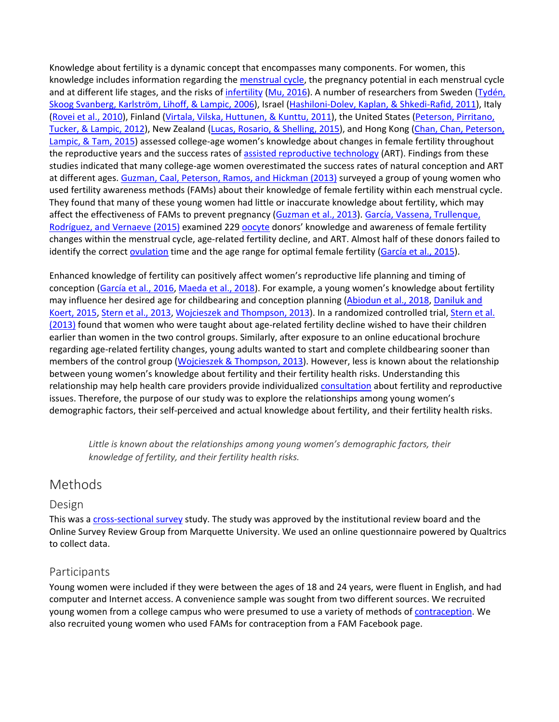Knowledge about fertility is a dynamic concept that encompasses many components. For women, this knowledge includes information regarding the [menstrual cycle,](https://www.sciencedirect.com/topics/medicine-and-dentistry/menstrual-cycle) the pregnancy potential in each menstrual cycle and at different life stages, and the risks of [infertility](https://www.sciencedirect.com/topics/medicine-and-dentistry/infertility) [\(Mu, 2016\)](https://www.sciencedirect.com/science/article/pii/S0884217519300012?via%3Dihub#bib24). A number of researchers from Sweden (Tydén, [Skoog Svanberg, Karlström, Lihoff, & Lampic, 2006\)](https://www.sciencedirect.com/science/article/pii/S0884217519300012?via%3Dihub#bib33), Israel [\(Hashiloni-Dolev, Kaplan, & Shkedi-Rafid, 2011\)](https://www.sciencedirect.com/science/article/pii/S0884217519300012?via%3Dihub#bib16), Italy (Rovei et [al., 2010\)](https://www.sciencedirect.com/science/article/pii/S0884217519300012?via%3Dihub#bib29), Finland [\(Virtala, Vilska, Huttunen, & Kunttu, 2011\)](https://www.sciencedirect.com/science/article/pii/S0884217519300012?via%3Dihub#bib34), the United States [\(Peterson, Pirritano,](https://www.sciencedirect.com/science/article/pii/S0884217519300012?via%3Dihub#bib26)  [Tucker, & Lampic, 2012\)](https://www.sciencedirect.com/science/article/pii/S0884217519300012?via%3Dihub#bib26), New Zealand [\(Lucas, Rosario, & Shelling, 2015\)](https://www.sciencedirect.com/science/article/pii/S0884217519300012?via%3Dihub#bib20), and Hong Kong [\(Chan, Chan, Peterson,](https://www.sciencedirect.com/science/article/pii/S0884217519300012?via%3Dihub#bib6)  [Lampic, & Tam, 2015\)](https://www.sciencedirect.com/science/article/pii/S0884217519300012?via%3Dihub#bib6) assessed college-age women's knowledge about changes in female fertility throughout the reproductive years and the success rates of [assisted reproductive technology](https://www.sciencedirect.com/topics/medicine-and-dentistry/assisted-reproductive-technology) (ART). Findings from these studies indicated that many college-age women overestimated the success rates of natural conception and ART at different ages[. Guzman, Caal, Peterson, Ramos, and Hickman \(2013\)](https://www.sciencedirect.com/science/article/pii/S0884217519300012?via%3Dihub#bib15) surveyed a group of young women who used fertility awareness methods (FAMs) about their knowledge of female fertility within each menstrual cycle. They found that many of these young women had little or inaccurate knowledge about fertility, which may affect the effectiveness of FAMs to prevent pregnancy [\(Guzman et](https://www.sciencedirect.com/science/article/pii/S0884217519300012?via%3Dihub#bib15) al., 2013). [García, Vassena, Trullenque,](https://www.sciencedirect.com/science/article/pii/S0884217519300012?via%3Dihub#bib13)  [Rodríguez, and Vernaeve \(2015\)](https://www.sciencedirect.com/science/article/pii/S0884217519300012?via%3Dihub#bib13) examined 229 [oocyte](https://www.sciencedirect.com/topics/medicine-and-dentistry/oocyte) donors' knowledge and awareness of female fertility changes within the menstrual cycle, age-related fertility decline, and ART. Almost half of these donors failed to identify the correct [ovulation](https://www.sciencedirect.com/topics/medicine-and-dentistry/ovulation) time and the age range for optimal female fertility [\(García et](https://www.sciencedirect.com/science/article/pii/S0884217519300012?via%3Dihub#bib13) al., 2015).

Enhanced knowledge of fertility can positively affect women's reproductive life planning and timing of conception [\(García et](https://www.sciencedirect.com/science/article/pii/S0884217519300012?via%3Dihub#bib12) al., 2016[, Maeda et](https://www.sciencedirect.com/science/article/pii/S0884217519300012?via%3Dihub#bib23) al., 2018). For example, a young women's knowledge about fertility may influence her desired age for childbearing and conception planning [\(Abiodun et](https://www.sciencedirect.com/science/article/pii/S0884217519300012?via%3Dihub#bib1) al., 2018, [Daniluk and](https://www.sciencedirect.com/science/article/pii/S0884217519300012?via%3Dihub#bib7)  [Koert, 2015,](https://www.sciencedirect.com/science/article/pii/S0884217519300012?via%3Dihub#bib7) Stern et [al., 2013,](https://www.sciencedirect.com/science/article/pii/S0884217519300012?via%3Dihub#bib32) [Wojcieszek and Thompson, 2013\)](https://www.sciencedirect.com/science/article/pii/S0884217519300012?via%3Dihub#bib35). In a randomized controlled trial, [Stern](https://www.sciencedirect.com/science/article/pii/S0884217519300012?via%3Dihub#bib32) et al. [\(2013\)](https://www.sciencedirect.com/science/article/pii/S0884217519300012?via%3Dihub#bib32) found that women who were taught about age-related fertility decline wished to have their children earlier than women in the two control groups. Similarly, after exposure to an online educational brochure regarding age-related fertility changes, young adults wanted to start and complete childbearing sooner than members of the control group [\(Wojcieszek & Thompson, 2013\)](https://www.sciencedirect.com/science/article/pii/S0884217519300012?via%3Dihub#bib35). However, less is known about the relationship between young women's knowledge about fertility and their fertility health risks. Understanding this relationship may help health care providers provide individualized [consultation](https://www.sciencedirect.com/topics/nursing-and-health-professions/consultation) about fertility and reproductive issues. Therefore, the purpose of our study was to explore the relationships among young women's demographic factors, their self-perceived and actual knowledge about fertility, and their fertility health risks.

*Little is known about the relationships among young women's demographic factors, their knowledge of fertility, and their fertility health risks.*

## Methods

#### Design

This was a [cross-sectional survey](https://www.sciencedirect.com/topics/medicine-and-dentistry/cross-sectional-study) study. The study was approved by the institutional review board and the Online Survey Review Group from Marquette University. We used an online questionnaire powered by Qualtrics to collect data.

#### Participants

Young women were included if they were between the ages of 18 and 24 years, were fluent in English, and had computer and Internet access. A convenience sample was sought from two different sources. We recruited young women from a college campus who were presumed to use a variety of methods of [contraception.](https://www.sciencedirect.com/topics/nursing-and-health-professions/contraception) We also recruited young women who used FAMs for contraception from a FAM Facebook page.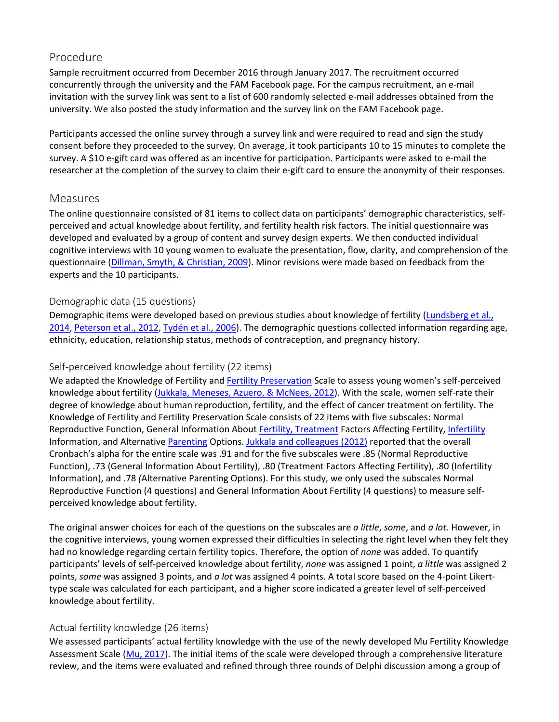#### Procedure

Sample recruitment occurred from December 2016 through January 2017. The recruitment occurred concurrently through the university and the FAM Facebook page. For the campus recruitment, an e-mail invitation with the survey link was sent to a list of 600 randomly selected e-mail addresses obtained from the university. We also posted the study information and the survey link on the FAM Facebook page.

Participants accessed the online survey through a survey link and were required to read and sign the study consent before they proceeded to the survey. On average, it took participants 10 to 15 minutes to complete the survey. A \$10 e-gift card was offered as an incentive for participation. Participants were asked to e-mail the researcher at the completion of the survey to claim their e-gift card to ensure the anonymity of their responses.

#### Measures

The online questionnaire consisted of 81 items to collect data on participants' demographic characteristics, selfperceived and actual knowledge about fertility, and fertility health risk factors. The initial questionnaire was developed and evaluated by a group of content and survey design experts. We then conducted individual cognitive interviews with 10 young women to evaluate the presentation, flow, clarity, and comprehension of the questionnaire [\(Dillman, Smyth, & Christian, 2009\)](https://www.sciencedirect.com/science/article/pii/S0884217519300012?via%3Dihub#bib9). Minor revisions were made based on feedback from the experts and the 10 participants.

#### Demographic data (15 questions)

Demographic items were developed based on previous studies about knowledge of fertility [\(Lundsberg et](https://www.sciencedirect.com/science/article/pii/S0884217519300012?via%3Dihub#bib21) al., [2014,](https://www.sciencedirect.com/science/article/pii/S0884217519300012?via%3Dihub#bib21) [Peterson et](https://www.sciencedirect.com/science/article/pii/S0884217519300012?via%3Dihub#bib26) al., 2012, [Tydén et](https://www.sciencedirect.com/science/article/pii/S0884217519300012?via%3Dihub#bib33) al., 2006). The demographic questions collected information regarding age, ethnicity, education, relationship status, methods of contraception, and pregnancy history.

#### Self-perceived knowledge about fertility (22 items)

We adapted the Knowledge of Fertility an[d Fertility Preservation](https://www.sciencedirect.com/topics/medicine-and-dentistry/fertility-preservation) Scale to assess young women's self-perceived knowledge about fertility [\(Jukkala, Meneses, Azuero, & McNees, 2012\)](https://www.sciencedirect.com/science/article/pii/S0884217519300012?via%3Dihub#bib19). With the scale, women self-rate their degree of knowledge about human reproduction, fertility, and the effect of cancer treatment on fertility. The Knowledge of Fertility and Fertility Preservation Scale consists of 22 items with five subscales: Normal Reproductive Function, General Information About [Fertility, Treatment](https://www.sciencedirect.com/topics/medicine-and-dentistry/assisted-reproductive-technology) Factors Affecting Fertility, [Infertility](https://www.sciencedirect.com/topics/medicine-and-dentistry/infertility) Information, and Alternative [Parenting](https://www.sciencedirect.com/topics/medicine-and-dentistry/child-parent-relation) Options. [Jukkala and colleagues \(2012\)](https://www.sciencedirect.com/science/article/pii/S0884217519300012?via%3Dihub#bib19) reported that the overall Cronbach's alpha for the entire scale was .91 and for the five subscales were .85 (Normal Reproductive Function), .73 (General Information About Fertility), .80 (Treatment Factors Affecting Fertility), .80 (Infertility Information), and .78 *(*Alternative Parenting Options). For this study, we only used the subscales Normal Reproductive Function (4 questions) and General Information About Fertility (4 questions) to measure selfperceived knowledge about fertility.

The original answer choices for each of the questions on the subscales are *a little*, *some*, and *a lot*. However, in the cognitive interviews, young women expressed their difficulties in selecting the right level when they felt they had no knowledge regarding certain fertility topics. Therefore, the option of *none* was added. To quantify participants' levels of self-perceived knowledge about fertility, *none* was assigned 1 point, *a little* was assigned 2 points, *some* was assigned 3 points, and *a lot* was assigned 4 points. A total score based on the 4-point Likerttype scale was calculated for each participant, and a higher score indicated a greater level of self-perceived knowledge about fertility.

#### Actual fertility knowledge (26 items)

We assessed participants' actual fertility knowledge with the use of the newly developed Mu Fertility Knowledge Assessment Scale [\(Mu, 2017\)](https://www.sciencedirect.com/science/article/pii/S0884217519300012?via%3Dihub#bib25). The initial items of the scale were developed through a comprehensive literature review, and the items were evaluated and refined through three rounds of Delphi discussion among a group of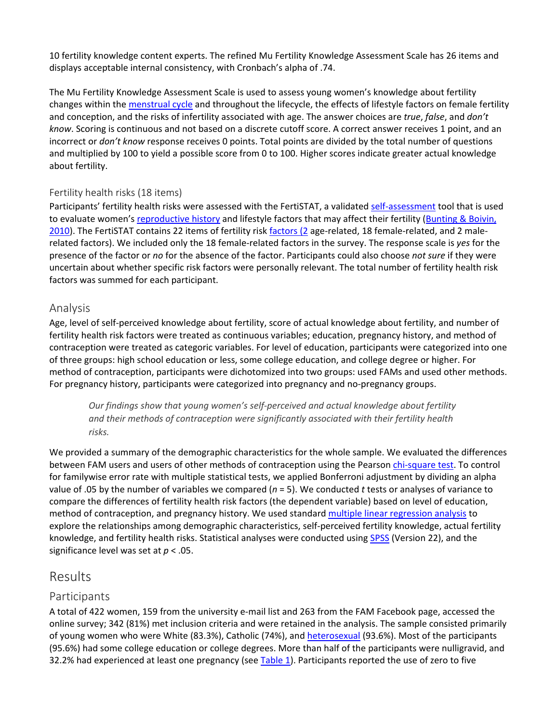10 fertility knowledge content experts. The refined Mu Fertility Knowledge Assessment Scale has 26 items and displays acceptable internal consistency, with Cronbach's alpha of .74.

The Mu Fertility Knowledge Assessment Scale is used to assess young women's knowledge about fertility changes within the [menstrual cycle](https://www.sciencedirect.com/topics/medicine-and-dentistry/menstrual-cycle) and throughout the lifecycle, the effects of lifestyle factors on female fertility and conception, and the risks of infertility associated with age. The answer choices are *true*, *false*, and *don't know*. Scoring is continuous and not based on a discrete cutoff score. A correct answer receives 1 point, and an incorrect or *don't know* response receives 0 points. Total points are divided by the total number of questions and multiplied by 100 to yield a possible score from 0 to 100. Higher scores indicate greater actual knowledge about fertility.

#### Fertility health risks (18 items)

Participants' fertility health risks were assessed with the FertiSTAT, a validated [self-assessment](https://www.sciencedirect.com/topics/nursing-and-health-professions/self-evaluation) tool that is used to evaluate women's [reproductive history](https://www.sciencedirect.com/topics/medicine-and-dentistry/reproductive-history) and lifestyle factors that may affect their fertility [\(Bunting & Boivin,](https://www.sciencedirect.com/science/article/pii/S0884217519300012?via%3Dihub#bib5)  [2010\)](https://www.sciencedirect.com/science/article/pii/S0884217519300012?via%3Dihub#bib5). The FertiSTAT contains 22 items of fertility risk [factors \(2](https://www.sciencedirect.com/topics/medicine-and-dentistry/prothrombin) age-related, 18 female-related, and 2 malerelated factors). We included only the 18 female-related factors in the survey. The response scale is *yes* for the presence of the factor or *no* for the absence of the factor. Participants could also choose *not sure* if they were uncertain about whether specific risk factors were personally relevant. The total number of fertility health risk factors was summed for each participant.

#### Analysis

Age, level of self-perceived knowledge about fertility, score of actual knowledge about fertility, and number of fertility health risk factors were treated as continuous variables; education, pregnancy history, and method of contraception were treated as categoric variables. For level of education, participants were categorized into one of three groups: high school education or less, some college education, and college degree or higher. For method of contraception, participants were dichotomized into two groups: used FAMs and used other methods. For pregnancy history, participants were categorized into pregnancy and no-pregnancy groups.

*Our findings show that young women's self-perceived and actual knowledge about fertility and their methods of contraception were significantly associated with their fertility health risks.*

We provided a summary of the demographic characteristics for the whole sample. We evaluated the differences between FAM users and users of other methods of contraception using the Pearso[n chi-square test.](https://www.sciencedirect.com/topics/medicine-and-dentistry/chi-square-test) To control for familywise error rate with multiple statistical tests, we applied Bonferroni adjustment by dividing an alpha value of .05 by the number of variables we compared (*n* = 5). We conducted *t* tests or analyses of variance to compare the differences of fertility health risk factors (the dependent variable) based on level of education, method of contraception, and pregnancy history. We used standard [multiple linear regression analysis](https://www.sciencedirect.com/topics/medicine-and-dentistry/multiple-linear-regression-analysis) to explore the relationships among demographic characteristics, self-perceived fertility knowledge, actual fertility knowledge, and fertility health risks. Statistical analyses were conducted using [SPSS](https://www.sciencedirect.com/topics/nursing-and-health-professions/data-analysis-software) (Version 22), and the significance level was set at *p* < .05.

## Results

## Participants

A total of 422 women, 159 from the university e-mail list and 263 from the FAM Facebook page, accessed the online survey; 342 (81%) met inclusion criteria and were retained in the analysis. The sample consisted primarily of young women who were White (83.3%), Catholic (74%), an[d heterosexual](https://www.sciencedirect.com/topics/medicine-and-dentistry/heterosexuality) (93.6%). Most of the participants (95.6%) had some college education or college degrees. More than half of the participants were nulligravid, and 32.2% had experienced at least one pregnancy (se[e Table](https://www.sciencedirect.com/science/article/pii/S0884217519300012?via%3Dihub#tbl1) 1). Participants reported the use of zero to five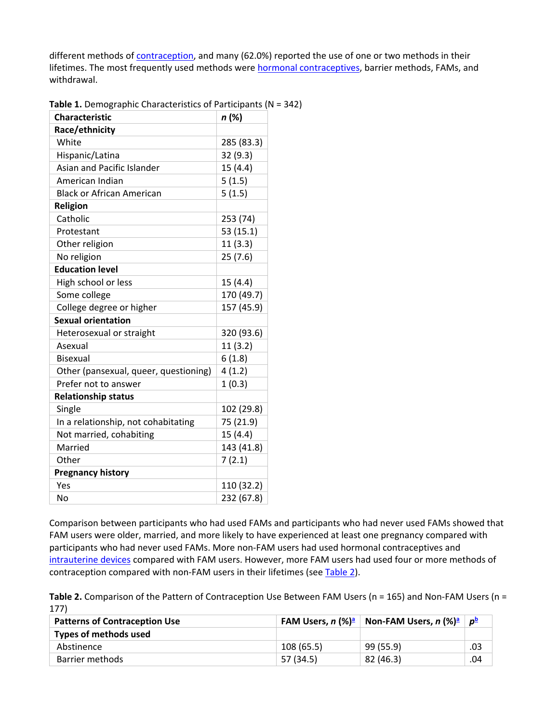different methods of [contraception,](https://www.sciencedirect.com/topics/nursing-and-health-professions/contraception) and many (62.0%) reported the use of one or two methods in their lifetimes. The most frequently used methods were **hormonal contraceptives**, barrier methods, FAMs, and withdrawal.

| <b>Characteristic</b>                 | $n(\%)$    |
|---------------------------------------|------------|
| Race/ethnicity                        |            |
| White                                 | 285 (83.3) |
| Hispanic/Latina                       | 32 (9.3)   |
| Asian and Pacific Islander            | 15 (4.4)   |
| American Indian                       | 5(1.5)     |
| <b>Black or African American</b>      | 5(1.5)     |
| Religion                              |            |
| Catholic                              | 253 (74)   |
| Protestant                            | 53 (15.1)  |
| Other religion                        | 11(3.3)    |
| No religion                           | 25(7.6)    |
| <b>Education level</b>                |            |
| High school or less                   | 15(4.4)    |
| Some college                          | 170 (49.7) |
| College degree or higher              | 157 (45.9) |
| <b>Sexual orientation</b>             |            |
| Heterosexual or straight              | 320 (93.6) |
| Asexual                               | 11(3.2)    |
| <b>Bisexual</b>                       | 6(1.8)     |
| Other (pansexual, queer, questioning) | 4(1.2)     |
| Prefer not to answer                  | 1(0.3)     |
| <b>Relationship status</b>            |            |
| Single                                | 102 (29.8) |
| In a relationship, not cohabitating   | 75 (21.9)  |
| Not married, cohabiting               | 15 (4.4)   |
| Married                               | 143 (41.8) |
| Other                                 | 7(2.1)     |
| <b>Pregnancy history</b>              |            |
| Yes                                   | 110 (32.2) |
| No                                    | 232 (67.8) |

**Table 1.** Demographic Characteristics of Participants (N = 342)

Comparison between participants who had used FAMs and participants who had never used FAMs showed that FAM users were older, married, and more likely to have experienced at least one pregnancy compared with participants who had never used FAMs. More non-FAM users had used hormonal contraceptives and [intrauterine devices](https://www.sciencedirect.com/topics/medicine-and-dentistry/intrauterine-device) compared with FAM users. However, more FAM users had used four or more methods of contraception compared with non-FAM users in their lifetimes (see [Table](https://www.sciencedirect.com/science/article/pii/S0884217519300012?via%3Dihub#tbl2) 2).

**Table 2.** Comparison of the Pattern of [Contraception](https://www.sciencedirect.com/topics/nursing-and-health-professions/contraception) Use Between FAM Users (n = 165) and Non-FAM Users (n = 177)

| <b>Patterns of Contraception Use</b> |            | FAM Users, n $(\%)^2$   Non-FAM Users, n $(\%)^2$   $p^2$ |     |
|--------------------------------------|------------|-----------------------------------------------------------|-----|
| Types of methods used                |            |                                                           |     |
| Abstinence                           | 108 (65.5) | 99 (55.9)                                                 | .03 |
| Barrier methods                      | 57 (34.5)  | 82 (46.3)                                                 | .04 |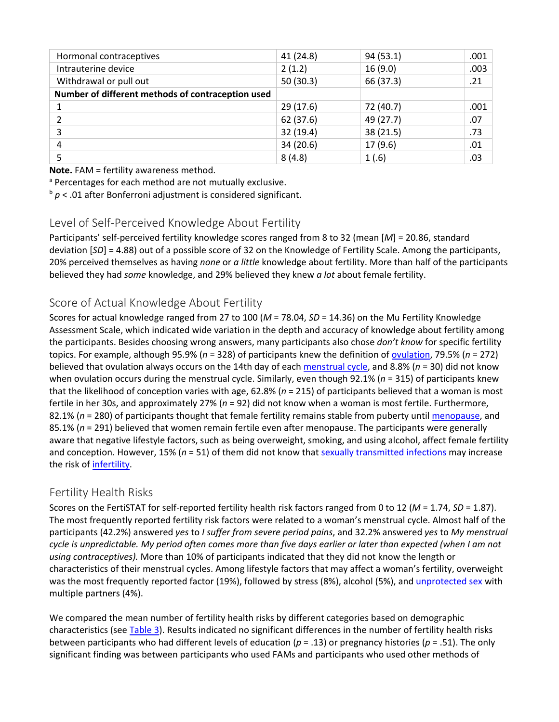| Hormonal contraceptives                           | 41 (24.8) | 94(53.1)  | .001 |
|---------------------------------------------------|-----------|-----------|------|
| Intrauterine device                               | 2(1.2)    | 16(9.0)   | .003 |
| Withdrawal or pull out                            | 50(30.3)  | 66 (37.3) | .21  |
| Number of different methods of contraception used |           |           |      |
|                                                   | 29(17.6)  | 72 (40.7) | .001 |
| 2                                                 | 62 (37.6) | 49 (27.7) | .07  |
| 3                                                 | 32(19.4)  | 38 (21.5) | .73  |
| 4                                                 | 34(20.6)  | 17(9.6)   | .01  |
|                                                   | 8(4.8)    | 1(.6)     | .03  |

**Note.** FAM = fertility awareness method.

a Percentages for each method are not mutually exclusive.

 $b$   $p$  < .01 after Bonferroni adjustment is considered significant.

## Level of Self-Perceived Knowledge About Fertility

Participants' self-perceived fertility knowledge scores ranged from 8 to 32 (mean [*M*] = 20.86, standard deviation [*SD*] = 4.88) out of a possible score of 32 on the Knowledge of Fertility Scale. Among the participants, 20% perceived themselves as having *none* or *a little* knowledge about fertility. More than half of the participants believed they had *some* knowledge, and 29% believed they knew *a lot* about female fertility.

## Score of Actual Knowledge About Fertility

Scores for actual knowledge ranged from 27 to 100 (*M* = 78.04, *SD* = 14.36) on the Mu Fertility Knowledge Assessment Scale, which indicated wide variation in the depth and accuracy of knowledge about fertility among the participants. Besides choosing wrong answers, many participants also chose *don't know* for specific fertility topics. For example, although 95.9% (*n* = 328) of participants knew the definition of [ovulation,](https://www.sciencedirect.com/topics/medicine-and-dentistry/ovulation) 79.5% (*n* = 272) believed that ovulation always occurs on the 14th day of eac[h menstrual cycle,](https://www.sciencedirect.com/topics/medicine-and-dentistry/menstrual-cycle) and 8.8% (*n* = 30) did not know when ovulation occurs during the menstrual cycle. Similarly, even though 92.1% (*n* = 315) of participants knew that the likelihood of conception varies with age, 62.8% (*n* = 215) of participants believed that a woman is most fertile in her 30s, and approximately 27% (*n* = 92) did not know when a woman is most fertile. Furthermore, 82.1% (*n* = 280) of participants thought that female fertility remains stable from puberty until [menopause,](https://www.sciencedirect.com/topics/medicine-and-dentistry/menopause) and 85.1% (*n* = 291) believed that women remain fertile even after menopause. The participants were generally aware that negative lifestyle factors, such as being overweight, smoking, and using alcohol, affect female fertility and conception. However, 15% (*n* = 51) of them did not know that [sexually transmitted infections](https://www.sciencedirect.com/topics/nursing-and-health-professions/sexually-transmitted-disease) may increase the risk of [infertility.](https://www.sciencedirect.com/topics/medicine-and-dentistry/infertility)

## Fertility Health Risks

Scores on the FertiSTAT for self-reported fertility health risk factors ranged from 0 to 12 (*M* = 1.74, *SD* = 1.87). The most frequently reported fertility risk factors were related to a woman's menstrual cycle. Almost half of the participants (42.2%) answered *yes* to *I suffer from severe period pains*, and 32.2% answered *yes* to *My menstrual cycle is unpredictable. My period often comes more than five days earlier or later than expected (when I am not using contraceptives).* More than 10% of participants indicated that they did not know the length or characteristics of their menstrual cycles. Among lifestyle factors that may affect a woman's fertility, overweight was the most frequently reported factor (19%), followed by stress (8%), alcohol (5%), and [unprotected sex](https://www.sciencedirect.com/topics/medicine-and-dentistry/unprotected-sex) with multiple partners (4%).

We compared the mean number of fertility health risks by different categories based on demographic characteristics (see [Table](https://www.sciencedirect.com/science/article/pii/S0884217519300012?via%3Dihub#tbl3) 3). Results indicated no significant differences in the number of fertility health risks between participants who had different levels of education (*p* = .13) or pregnancy histories (*p* = .51). The only significant finding was between participants who used FAMs and participants who used other methods of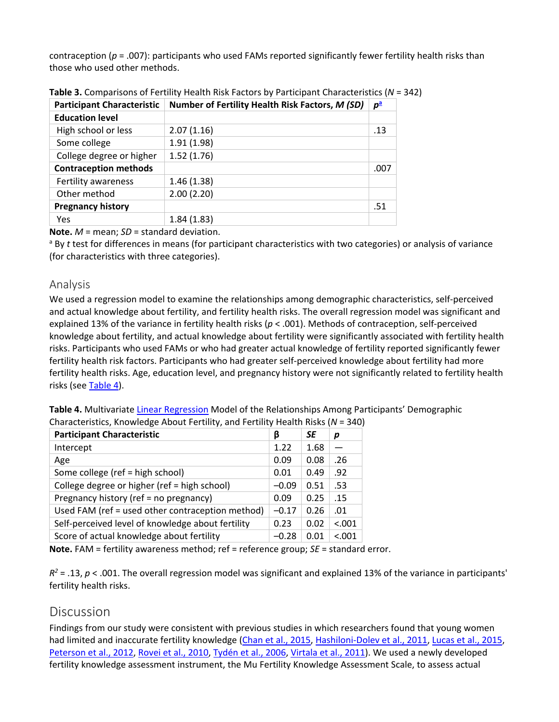contraception (*p* = .007): participants who used FAMs reported significantly fewer fertility health risks than those who used other methods.

| <b>Participant Characteristic</b> | Number of Fertility Health Risk Factors, M (SD) | $p^{\underline{a}}$ |
|-----------------------------------|-------------------------------------------------|---------------------|
| <b>Education level</b>            |                                                 |                     |
| High school or less               | 2.07(1.16)                                      | .13                 |
| Some college                      | 1.91(1.98)                                      |                     |
| College degree or higher          | 1.52(1.76)                                      |                     |
| <b>Contraception methods</b>      |                                                 | .007                |
| Fertility awareness               | 1.46(1.38)                                      |                     |
| Other method                      | 2.00(2.20)                                      |                     |
| <b>Pregnancy history</b>          |                                                 | .51                 |
| Yes                               | 1.84(1.83)                                      |                     |

**Note.** *M* = mean; *SD* = standard deviation.

<sup>a</sup> By *t* test for differences in means (for participant characteristics with two categories) or analysis of variance (for characteristics with three categories).

#### Analysis

We used a regression model to examine the relationships among demographic characteristics, self-perceived and actual knowledge about fertility, and fertility health risks. The overall regression model was significant and explained 13% of the variance in fertility health risks (*p* < .001). Methods of contraception, self-perceived knowledge about fertility, and actual knowledge about fertility were significantly associated with fertility health risks. Participants who used FAMs or who had greater actual knowledge of fertility reported significantly fewer fertility health risk factors. Participants who had greater self-perceived knowledge about fertility had more fertility health risks. Age, education level, and pregnancy history were not significantly related to fertility health risks (see [Table](https://www.sciencedirect.com/science/article/pii/S0884217519300012?via%3Dihub#tbl4) 4).

| Darticinant Charactorictic                                                                         | $\begin{array}{c c c c} \hline \text{C} & \text{C} & \text{A} \end{array}$ |  |  |
|----------------------------------------------------------------------------------------------------|----------------------------------------------------------------------------|--|--|
| Characteristics, Knowledge About Fertility, and Fertility Health Risks ( $N = 340$ )               |                                                                            |  |  |
| Table 4. Multivariate Linear Regression Model of the Relationships Among Participants' Demographic |                                                                            |  |  |

| <b>Participant Characteristic</b>                 | ß       | SE   | p       |
|---------------------------------------------------|---------|------|---------|
| Intercept                                         | 1.22    | 1.68 |         |
| Age                                               | 0.09    | 0.08 | .26     |
| Some college (ref = high school)                  | 0.01    | 0.49 | .92     |
| College degree or higher (ref = high school)      | $-0.09$ | 0.51 | .53     |
| Pregnancy history (ref = no pregnancy)            | 0.09    | 0.25 | .15     |
| Used FAM (ref = used other contraception method)  | $-0.17$ | 0.26 | .01     |
| Self-perceived level of knowledge about fertility | 0.23    | 0.02 | < 0.001 |
| Score of actual knowledge about fertility         | $-0.28$ | 0.01 | < 0.01  |

**Note.** FAM = fertility awareness method; ref = reference group; *SE* = standard error.

 $R^2$  = .13,  $p$  < .001. The overall regression model was significant and explained 13% of the variance in participants' fertility health risks.

## **Discussion**

Findings from our study were consistent with previous studies in which researchers found that young women had limited and inaccurate fertility knowledge (Chan et [al., 2015,](https://www.sciencedirect.com/science/article/pii/S0884217519300012?via%3Dihub#bib6) [Hashiloni-Dolev et](https://www.sciencedirect.com/science/article/pii/S0884217519300012?via%3Dihub#bib16) al., 2011, Lucas et [al., 2015,](https://www.sciencedirect.com/science/article/pii/S0884217519300012?via%3Dihub#bib20) [Peterson et](https://www.sciencedirect.com/science/article/pii/S0884217519300012?via%3Dihub#bib26) al., 2012, Rovei et [al., 2010,](https://www.sciencedirect.com/science/article/pii/S0884217519300012?via%3Dihub#bib29) [Tydén et](https://www.sciencedirect.com/science/article/pii/S0884217519300012?via%3Dihub#bib33) al., 2006[, Virtala et](https://www.sciencedirect.com/science/article/pii/S0884217519300012?via%3Dihub#bib34) al., 2011). We used a newly developed fertility knowledge assessment instrument, the Mu Fertility Knowledge Assessment Scale, to assess actual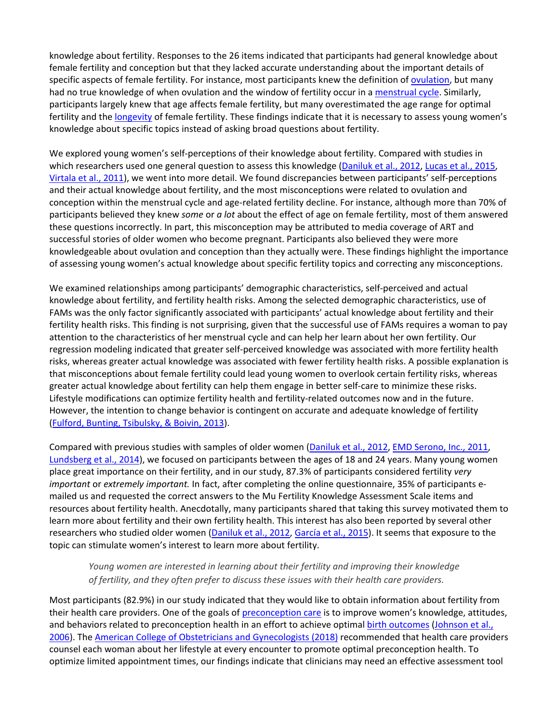knowledge about fertility. Responses to the 26 items indicated that participants had general knowledge about female fertility and conception but that they lacked accurate understanding about the important details of specific aspects of female fertility. For instance, most participants knew the definition of [ovulation,](https://www.sciencedirect.com/topics/medicine-and-dentistry/ovulation) but many had no true knowledge of when ovulation and the window of fertility occur in a [menstrual cycle.](https://www.sciencedirect.com/topics/medicine-and-dentistry/menstrual-cycle) Similarly, participants largely knew that age affects female fertility, but many overestimated the age range for optimal fertility and the [longevity](https://www.sciencedirect.com/topics/medicine-and-dentistry/longevity) of female fertility. These findings indicate that it is necessary to assess young women's knowledge about specific topics instead of asking broad questions about fertility.

We explored young women's self-perceptions of their knowledge about fertility. Compared with studies in which researchers used one general question to assess this knowledge [\(Daniluk et](https://www.sciencedirect.com/science/article/pii/S0884217519300012?via%3Dihub#bib8) al., 2012, Lucas et [al., 2015,](https://www.sciencedirect.com/science/article/pii/S0884217519300012?via%3Dihub#bib20) [Virtala et](https://www.sciencedirect.com/science/article/pii/S0884217519300012?via%3Dihub#bib34) al., 2011), we went into more detail. We found discrepancies between participants' self-perceptions and their actual knowledge about fertility, and the most misconceptions were related to ovulation and conception within the menstrual cycle and age-related fertility decline. For instance, although more than 70% of participants believed they knew *some* or *a lot* about the effect of age on female fertility, most of them answered these questions incorrectly. In part, this misconception may be attributed to media coverage of ART and successful stories of older women who become pregnant. Participants also believed they were more knowledgeable about ovulation and conception than they actually were. These findings highlight the importance of assessing young women's actual knowledge about specific fertility topics and correcting any misconceptions.

We examined relationships among participants' demographic characteristics, self-perceived and actual knowledge about fertility, and fertility health risks. Among the selected demographic characteristics, use of FAMs was the only factor significantly associated with participants' actual knowledge about fertility and their fertility health risks. This finding is not surprising, given that the successful use of FAMs requires a woman to pay attention to the characteristics of her menstrual cycle and can help her learn about her own fertility. Our regression modeling indicated that greater self-perceived knowledge was associated with more fertility health risks, whereas greater actual knowledge was associated with fewer fertility health risks. A possible explanation is that misconceptions about female fertility could lead young women to overlook certain fertility risks, whereas greater actual knowledge about fertility can help them engage in better self-care to minimize these risks. Lifestyle modifications can optimize fertility health and fertility-related outcomes now and in the future. However, the intention to change behavior is contingent on accurate and adequate knowledge of fertility [\(Fulford, Bunting, Tsibulsky, & Boivin, 2013\)](https://www.sciencedirect.com/science/article/pii/S0884217519300012?via%3Dihub#bib11).

Compared with previous studies with samples of older women [\(Daniluk et](https://www.sciencedirect.com/science/article/pii/S0884217519300012?via%3Dihub#bib8) al., 2012, [EMD Serono, Inc., 2011,](https://www.sciencedirect.com/science/article/pii/S0884217519300012?via%3Dihub#bib10) [Lundsberg et](https://www.sciencedirect.com/science/article/pii/S0884217519300012?via%3Dihub#bib21) al., 2014), we focused on participants between the ages of 18 and 24 years. Many young women place great importance on their fertility, and in our study, 87.3% of participants considered fertility *very important* or *extremely important.* In fact, after completing the online questionnaire, 35% of participants emailed us and requested the correct answers to the Mu Fertility Knowledge Assessment Scale items and resources about fertility health. Anecdotally, many participants shared that taking this survey motivated them to learn more about fertility and their own fertility health. This interest has also been reported by several other researchers who studied older women [\(Daniluk et](https://www.sciencedirect.com/science/article/pii/S0884217519300012?via%3Dihub#bib8) al., 2012, [García et](https://www.sciencedirect.com/science/article/pii/S0884217519300012?via%3Dihub#bib13) al., 2015). It seems that exposure to the topic can stimulate women's interest to learn more about fertility.

#### *Young women are interested in learning about their fertility and improving their knowledge of fertility, and they often prefer to discuss these issues with their health care providers.*

Most participants (82.9%) in our study indicated that they would like to obtain information about fertility from their health care providers. One of the goals of [preconception care](https://www.sciencedirect.com/topics/medicine-and-dentistry/prepregnancy-care) is to improve women's knowledge, attitudes, and behaviors related to preconception health in an effort to achieve optimal [birth outcomes](https://www.sciencedirect.com/topics/nursing-and-health-professions/pregnancy-outcome) [\(Johnson et](https://www.sciencedirect.com/science/article/pii/S0884217519300012?via%3Dihub#bib17) al., [2006\)](https://www.sciencedirect.com/science/article/pii/S0884217519300012?via%3Dihub#bib17). The [American College of Obstetricians and Gynecologists \(2018\)](https://www.sciencedirect.com/science/article/pii/S0884217519300012?via%3Dihub#bib2) recommended that health care providers counsel each woman about her lifestyle at every encounter to promote optimal preconception health. To optimize limited appointment times, our findings indicate that clinicians may need an effective assessment tool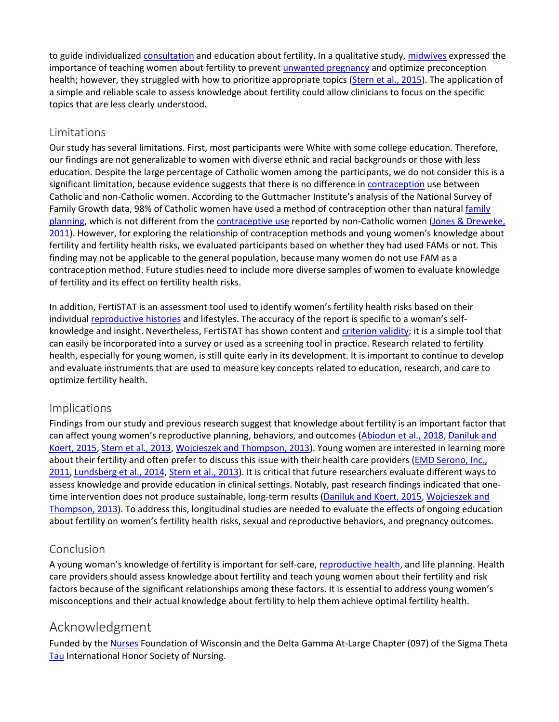to guide individualized [consultation](https://www.sciencedirect.com/topics/nursing-and-health-professions/consultation) and education about fertility. In a qualitative study, [midwives](https://www.sciencedirect.com/topics/nursing-and-health-professions/midwife) expressed the importance of teaching women about fertility to prevent *unwanted pregnancy* and optimize preconception health; however, they struggled with how to prioritize appropriate topics (Stern et [al., 2015\)](https://www.sciencedirect.com/science/article/pii/S0884217519300012?via%3Dihub#bib31). The application of a simple and reliable scale to assess knowledge about fertility could allow clinicians to focus on the specific topics that are less clearly understood.

#### Limitations

Our study has several limitations. First, most participants were White with some college education. Therefore, our findings are not generalizable to women with diverse ethnic and racial backgrounds or those with less education. Despite the large percentage of Catholic women among the participants, we do not consider this is a significant limitation, because evidence suggests that there is no difference in [contraception](https://www.sciencedirect.com/topics/nursing-and-health-professions/contraception) use between Catholic and non-Catholic women. According to the Guttmacher Institute's analysis of the National Survey of Family Growth data, 98% of Catholic women have used a method of contraception other than natural [family](https://www.sciencedirect.com/topics/medicine-and-dentistry/family-planning)  [planning,](https://www.sciencedirect.com/topics/medicine-and-dentistry/family-planning) which is not different from the [contraceptive use](https://www.sciencedirect.com/topics/medicine-and-dentistry/contraceptive-behavior) reported by non-Catholic women (Jones & Dreweke, [2011\)](https://www.sciencedirect.com/science/article/pii/S0884217519300012?via%3Dihub#bib18). However, for exploring the relationship of contraception methods and young women's knowledge about fertility and fertility health risks, we evaluated participants based on whether they had used FAMs or not. This finding may not be applicable to the general population, because many women do not use FAM as a contraception method. Future studies need to include more diverse samples of women to evaluate knowledge of fertility and its effect on fertility health risks.

In addition, FertiSTAT is an assessment tool used to identify women's fertility health risks based on their individual [reproductive histories](https://www.sciencedirect.com/topics/medicine-and-dentistry/reproductive-history) and lifestyles. The accuracy of the report is specific to a woman's selfknowledge and insight. Nevertheless, FertiSTAT has shown content and [criterion validity;](https://www.sciencedirect.com/topics/nursing-and-health-professions/criterion-related-validity) it is a simple tool that can easily be incorporated into a survey or used as a screening tool in practice. Research related to fertility health, especially for young women, is still quite early in its development. It is important to continue to develop and evaluate instruments that are used to measure key concepts related to education, research, and care to optimize fertility health.

## Implications

Findings from our study and previous research suggest that knowledge about fertility is an important factor that can affect young women's reproductive planning, behaviors, and outcomes [\(Abiodun et](https://www.sciencedirect.com/science/article/pii/S0884217519300012?via%3Dihub#bib1) al., 2018, Daniluk and [Koert, 2015,](https://www.sciencedirect.com/science/article/pii/S0884217519300012?via%3Dihub#bib7) Stern et [al., 2013,](https://www.sciencedirect.com/science/article/pii/S0884217519300012?via%3Dihub#bib32) [Wojcieszek and Thompson, 2013\)](https://www.sciencedirect.com/science/article/pii/S0884217519300012?via%3Dihub#bib35). Young women are interested in learning more about their fertility and often prefer to discuss this issue with their health care providers (EMD Serono, Inc., [2011,](https://www.sciencedirect.com/science/article/pii/S0884217519300012?via%3Dihub#bib10) [Lundsberg et](https://www.sciencedirect.com/science/article/pii/S0884217519300012?via%3Dihub#bib21) al., 2014, Stern et [al., 2013\)](https://www.sciencedirect.com/science/article/pii/S0884217519300012?via%3Dihub#bib32). It is critical that future researchers evaluate different ways to assess knowledge and provide education in clinical settings. Notably, past research findings indicated that onetime intervention does not produce sustainable, long-term results [\(Daniluk and Koert, 2015,](https://www.sciencedirect.com/science/article/pii/S0884217519300012?via%3Dihub#bib7) [Wojcieszek and](https://www.sciencedirect.com/science/article/pii/S0884217519300012?via%3Dihub#bib35)  [Thompson, 2013\)](https://www.sciencedirect.com/science/article/pii/S0884217519300012?via%3Dihub#bib35). To address this, longitudinal studies are needed to evaluate the effects of ongoing education about fertility on women's fertility health risks, sexual and reproductive behaviors, and pregnancy outcomes.

## Conclusion

A young woman's knowledge of fertility is important for self-care, [reproductive health,](https://www.sciencedirect.com/topics/medicine-and-dentistry/reproductive-health) and life planning. Health care providers should assess knowledge about fertility and teach young women about their fertility and risk factors because of the significant relationships among these factors. It is essential to address young women's misconceptions and their actual knowledge about fertility to help them achieve optimal fertility health.

## Acknowledgment

Funded by the [Nurses](https://www.sciencedirect.com/topics/medicine-and-dentistry/nurse) Foundation of Wisconsin and the Delta Gamma At-Large Chapter (097) of the Sigma Theta [Tau](https://www.sciencedirect.com/topics/medicine-and-dentistry/tau) International Honor Society of Nursing.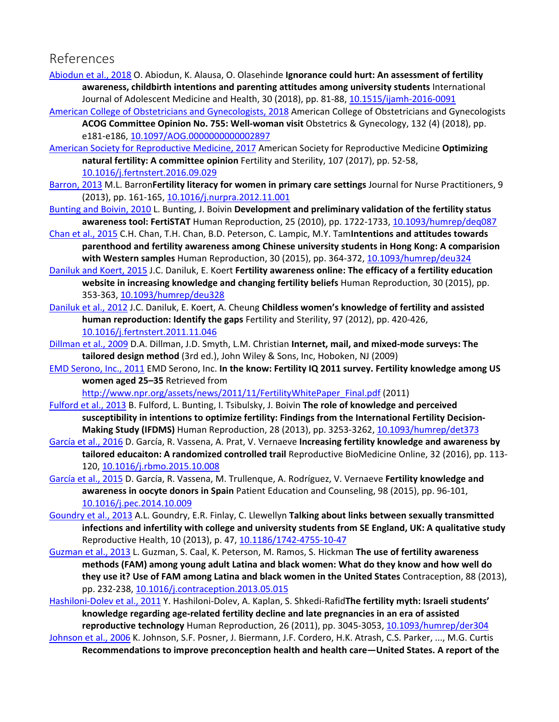## References

- [Abiodun et](https://www.sciencedirect.com/science/article/pii/S0884217519300012?via%3Dihub#bbib1) al., 2018 O. Abiodun, K. Alausa, O. Olasehinde **Ignorance could hurt: An assessment of fertility awareness, childbirth intentions and parenting attitudes among university students** International Journal of Adolescent Medicine and Health, 30 (2018), pp. 81-88[, 10.1515/ijamh-2016-0091](https://doi.org/10.1515/ijamh-2016-0091)
- [American College of Obstetricians and Gynecologists, 2018](https://www.sciencedirect.com/science/article/pii/S0884217519300012?via%3Dihub#bbib2) American College of Obstetricians and Gynecologists **ACOG Committee Opinion No. 755: Well-woman visit** Obstetrics & Gynecology, 132 (4) (2018), pp. e181-e186, [10.1097/AOG.0000000000002897](https://doi.org/10.1097/AOG.0000000000002897)
- [American Society for Reproductive Medicine, 2017](https://www.sciencedirect.com/science/article/pii/S0884217519300012?via%3Dihub#bbib3) American Society for Reproductive Medicine **Optimizing natural fertility: A committee opinion** Fertility and Sterility, 107 (2017), pp. 52-58, [10.1016/j.fertnstert.2016.09.029](https://doi.org/10.1016/j.fertnstert.2016.09.029)
- [Barron, 2013](https://www.sciencedirect.com/science/article/pii/S0884217519300012?via%3Dihub#bbib4) M.L. Barron**Fertility literacy for women in primary care settings** Journal for Nurse Practitioners, 9 (2013), pp. 161-165, [10.1016/j.nurpra.2012.11.001](https://doi.org/10.1016/j.nurpra.2012.11.001)
- [Bunting and Boivin, 2010](https://www.sciencedirect.com/science/article/pii/S0884217519300012?via%3Dihub#bbib5) L. Bunting, J. Boivin **Development and preliminary validation of the fertility status awareness tool: FertiSTAT** Human Reproduction, 25 (2010), pp. 1722-1733, [10.1093/humrep/deq087](https://doi.org/10.1093/humrep/deq087)
- Chan et [al., 2015](https://www.sciencedirect.com/science/article/pii/S0884217519300012?via%3Dihub#bbib6) C.H. Chan, T.H. Chan, B.D. Peterson, C. Lampic, M.Y. Tam**Intentions and attitudes towards parenthood and fertility awareness among Chinese university students in Hong Kong: A comparision with Western samples** Human Reproduction, 30 (2015), pp. 364-372, [10.1093/humrep/deu324](https://doi.org/10.1093/humrep/deu324)
- [Daniluk and Koert, 2015](https://www.sciencedirect.com/science/article/pii/S0884217519300012?via%3Dihub#bbib7) J.C. Daniluk, E. Koert **Fertility awareness online: The efficacy of a fertility education website in increasing knowledge and changing fertility beliefs** Human Reproduction, 30 (2015), pp. 353-363, [10.1093/humrep/deu328](https://doi.org/10.1093/humrep/deu328)
- [Daniluk et](https://www.sciencedirect.com/science/article/pii/S0884217519300012?via%3Dihub#bbib8) al., 2012 J.C. Daniluk, E. Koert, A. Cheung **Childless women's knowledge of fertility and assisted human reproduction: Identify the gaps** Fertility and Sterility, 97 (2012), pp. 420-426, [10.1016/j.fertnstert.2011.11.046](https://doi.org/10.1016/j.fertnstert.2011.11.046)
- [Dillman et](https://www.sciencedirect.com/science/article/pii/S0884217519300012?via%3Dihub#bbib9) al., 2009 D.A. Dillman, J.D. Smyth, L.M. Christian **Internet, mail, and mixed-mode surveys: The tailored design method** (3rd ed.), John Wiley & Sons, Inc, Hoboken, NJ (2009)
- [EMD Serono, Inc., 2011](https://www.sciencedirect.com/science/article/pii/S0884217519300012?via%3Dihub#bbib10) EMD Serono, Inc. **In the know: Fertility IQ 2011 survey. Fertility knowledge among US women aged 25–35** Retrieved from

[http://www.npr.org/assets/news/2011/11/FertilityWhitePaper\\_Final.pdf](http://www.npr.org/assets/news/2011/11/FertilityWhitePaper_Final.pdf) (2011)

- [Fulford et](https://www.sciencedirect.com/science/article/pii/S0884217519300012?via%3Dihub#bbib11) al., 2013 B. Fulford, L. Bunting, I. Tsibulsky, J. Boivin **The role of knowledge and perceived susceptibility in intentions to optimize fertility: Findings from the International Fertility Decision-Making Study (IFDMS)** Human Reproduction, 28 (2013), pp. 3253-3262, [10.1093/humrep/det373](https://doi.org/10.1093/humrep/det373)
- [García et](https://www.sciencedirect.com/science/article/pii/S0884217519300012?via%3Dihub#bbib12) al., 2016 D. García, R. Vassena, A. Prat, V. Vernaeve **Increasing fertility knowledge and awareness by tailored educaiton: A randomized controlled trail** Reproductive BioMedicine Online, 32 (2016), pp. 113- 120, [10.1016/j.rbmo.2015.10.008](https://doi.org/10.1016/j.rbmo.2015.10.008)
- [García et](https://www.sciencedirect.com/science/article/pii/S0884217519300012?via%3Dihub#bbib13) al., 2015 D. García, R. Vassena, M. Trullenque, A. Rodríguez, V. Vernaeve **Fertility knowledge and awareness in oocyte donors in Spain** Patient Education and Counseling, 98 (2015), pp. 96-101, [10.1016/j.pec.2014.10.009](https://doi.org/10.1016/j.pec.2014.10.009)
- [Goundry et](https://www.sciencedirect.com/science/article/pii/S0884217519300012?via%3Dihub#bbib14) al., 2013 A.L. Goundry, E.R. Finlay, C. Llewellyn **Talking about links between sexually transmitted infections and infertility with college and university students from SE England, UK: A qualitative study** Reproductive Health, 10 (2013), p. 47, [10.1186/1742-4755-10-47](https://doi.org/10.1186/1742-4755-10-47)
- [Guzman et](https://www.sciencedirect.com/science/article/pii/S0884217519300012?via%3Dihub#bbib15) al., 2013 L. Guzman, S. Caal, K. Peterson, M. Ramos, S. Hickman **The use of fertility awareness methods (FAM) among young adult Latina and black women: What do they know and how well do they use it? Use of FAM among Latina and black women in the United States** Contraception, 88 (2013), pp. 232-238, [10.1016/j.contraception.2013.05.015](https://doi.org/10.1016/j.contraception.2013.05.015)

[Hashiloni-Dolev et](https://www.sciencedirect.com/science/article/pii/S0884217519300012?via%3Dihub#bbib16) al., 2011 Y. Hashiloni-Dolev, A. Kaplan, S. Shkedi-Rafid**The fertility myth: Israeli students' knowledge regarding age-related fertility decline and late pregnancies in an era of assisted reproductive technology** Human Reproduction, 26 (2011), pp. 3045-3053, [10.1093/humrep/der304](https://doi.org/10.1093/humrep/der304)

[Johnson et](https://www.sciencedirect.com/science/article/pii/S0884217519300012?via%3Dihub#bbib17) al., 2006 K. Johnson, S.F. Posner, J. Biermann, J.F. Cordero, H.K. Atrash, C.S. Parker, ..., M.G. Curtis **Recommendations to improve preconception health and health care—United States. A report of the**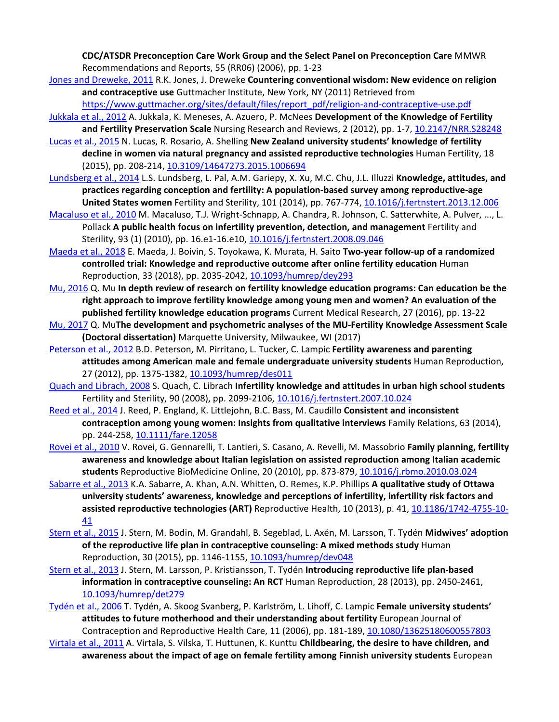**CDC/ATSDR Preconception Care Work Group and the Select Panel on Preconception Care** MMWR Recommendations and Reports, 55 (RR06) (2006), pp. 1-23

- [Jones and Dreweke, 2011](https://www.sciencedirect.com/science/article/pii/S0884217519300012?via%3Dihub#bbib18) R.K. Jones, J. Dreweke **Countering conventional wisdom: New evidence on religion and contraceptive use** Guttmacher Institute, New York, NY (2011) Retrieved from [https://www.guttmacher.org/sites/default/files/report\\_pdf/religion-and-contraceptive-use.pdf](https://www.guttmacher.org/sites/default/files/report_pdf/religion-and-contraceptive-use.pdf)
- [Jukkala et](https://www.sciencedirect.com/science/article/pii/S0884217519300012?via%3Dihub#bbib19) al., 2012 A. Jukkala, K. Meneses, A. Azuero, P. McNees **Development of the Knowledge of Fertility and Fertility Preservation Scale** Nursing Research and Reviews, 2 (2012), pp. 1-7, [10.2147/NRR.S28248](https://doi.org/10.2147/NRR.S28248)
- Lucas et [al., 2015](https://www.sciencedirect.com/science/article/pii/S0884217519300012?via%3Dihub#bbib20) N. Lucas, R. Rosario, A. Shelling **New Zealand university students' knowledge of fertility decline in women via natural pregnancy and assisted reproductive technologies** Human Fertility, 18 (2015), pp. 208-214, [10.3109/14647273.2015.1006694](https://doi.org/10.3109/14647273.2015.1006694)
- [Lundsberg et](https://www.sciencedirect.com/science/article/pii/S0884217519300012?via%3Dihub#bbib21) al., 2014 L.S. Lundsberg, L. Pal, A.M. Gariepy, X. Xu, M.C. Chu, J.L. Illuzzi **Knowledge, attitudes, and practices regarding conception and fertility: A population-based survey among reproductive-age United States women** Fertility and Sterility, 101 (2014), pp. 767-774, [10.1016/j.fertnstert.2013.12.006](https://doi.org/10.1016/j.fertnstert.2013.12.006)
- [Macaluso et](https://www.sciencedirect.com/science/article/pii/S0884217519300012?via%3Dihub#bbib22) al., 2010 M. Macaluso, T.J. Wright-Schnapp, A. Chandra, R. Johnson, C. Satterwhite, A. Pulver, ..., L. Pollack **A public health focus on infertility prevention, detection, and management** Fertility and Sterility, 93 (1) (2010), pp. 16.e1-16.e10, [10.1016/j.fertnstert.2008.09.046](https://doi.org/10.1016/j.fertnstert.2008.09.046)
- [Maeda et](https://www.sciencedirect.com/science/article/pii/S0884217519300012?via%3Dihub#bbib23) al., 2018 E. Maeda, J. Boivin, S. Toyokawa, K. Murata, H. Saito **Two-year follow-up of a randomized controlled trial: Knowledge and reproductive outcome after online fertility education** Human Reproduction, 33 (2018), pp. 2035-2042, [10.1093/humrep/dey293](https://doi.org/10.1093/humrep/dey293)
- [Mu, 2016](https://www.sciencedirect.com/science/article/pii/S0884217519300012?via%3Dihub#bbib24) Q. Mu **In depth review of research on fertility knowledge education programs: Can education be the right approach to improve fertility knowledge among young men and women? An evaluation of the published fertility knowledge education programs** Current Medical Research, 27 (2016), pp. 13-22
- [Mu, 2017](https://www.sciencedirect.com/science/article/pii/S0884217519300012?via%3Dihub#bbib25) Q. Mu**The development and psychometric analyses of the MU-Fertility Knowledge Assessment Scale (Doctoral dissertation)** Marquette University, Milwaukee, WI (2017)
- [Peterson et](https://www.sciencedirect.com/science/article/pii/S0884217519300012?via%3Dihub#bbib26) al., 2012 B.D. Peterson, M. Pirritano, L. Tucker, C. Lampic **Fertility awareness and parenting attitudes among American male and female undergraduate university students** Human Reproduction, 27 (2012), pp. 1375-1382, [10.1093/humrep/des011](https://doi.org/10.1093/humrep/des011)
- [Quach and Librach, 2008](https://www.sciencedirect.com/science/article/pii/S0884217519300012?via%3Dihub#bbib27) S. Quach, C. Librach **Infertility knowledge and attitudes in urban high school students** Fertility and Sterility, 90 (2008), pp. 2099-2106, [10.1016/j.fertnstert.2007.10.024](https://doi.org/10.1016/j.fertnstert.2007.10.024)
- Reed et [al., 2014](https://www.sciencedirect.com/science/article/pii/S0884217519300012?via%3Dihub#bbib28) J. Reed, P. England, K. Littlejohn, B.C. Bass, M. Caudillo **Consistent and inconsistent contraception among young women: Insights from qualitative interviews** Family Relations, 63 (2014), pp. 244-258, [10.1111/fare.12058](https://doi.org/10.1111/fare.12058)
- Rovei et [al., 2010](https://www.sciencedirect.com/science/article/pii/S0884217519300012?via%3Dihub#bbib29) V. Rovei, G. Gennarelli, T. Lantieri, S. Casano, A. Revelli, M. Massobrio **Family planning, fertility awareness and knowledge about Italian legislation on assisted reproduction among Italian academic students** Reproductive BioMedicine Online, 20 (2010), pp. 873-879, [10.1016/j.rbmo.2010.03.024](https://doi.org/10.1016/j.rbmo.2010.03.024)
- [Sabarre et](https://www.sciencedirect.com/science/article/pii/S0884217519300012?via%3Dihub#bbib30) al., 2013 K.A. Sabarre, A. Khan, A.N. Whitten, O. Remes, K.P. Phillips **A qualitative study of Ottawa university students' awareness, knowledge and perceptions of infertility, infertility risk factors and assisted reproductive technologies (ART)** Reproductive Health, 10 (2013), p. 41, [10.1186/1742-4755-10-](https://doi.org/10.1186/1742-4755-10-41) [41](https://doi.org/10.1186/1742-4755-10-41)
- [Stern et](https://www.sciencedirect.com/science/article/pii/S0884217519300012?via%3Dihub#bbib31) al., 2015 J. Stern, M. Bodin, M. Grandahl, B. Segeblad, L. Axén, M. Larsson, T. Tydén **Midwives' adoption of the reproductive life plan in contraceptive counseling: A mixed methods study** Human Reproduction, 30 (2015), pp. 1146-1155, [10.1093/humrep/dev048](https://doi.org/10.1093/humrep/dev048)
- Stern et [al., 2013](https://www.sciencedirect.com/science/article/pii/S0884217519300012?via%3Dihub#bbib32) J. Stern, M. Larsson, P. Kristiansson, T. Tydén **Introducing reproductive life plan-based information in contraceptive counseling: An RCT** Human Reproduction, 28 (2013), pp. 2450-2461, [10.1093/humrep/det279](https://doi.org/10.1093/humrep/det279)
- [Tydén et](https://www.sciencedirect.com/science/article/pii/S0884217519300012?via%3Dihub#bbib33) al., 2006 T. Tydén, A. Skoog Svanberg, P. Karlström, L. Lihoff, C. Lampic **Female university students' attitudes to future motherhood and their understanding about fertility** European Journal of Contraception and Reproductive Health Care, 11 (2006), pp. 181-189, [10.1080/13625180600557803](https://doi.org/10.1080/13625180600557803)
- [Virtala et](https://www.sciencedirect.com/science/article/pii/S0884217519300012?via%3Dihub#bbib34) al., 2011 A. Virtala, S. Vilska, T. Huttunen, K. Kunttu **Childbearing, the desire to have children, and awareness about the impact of age on female fertility among Finnish university students** European